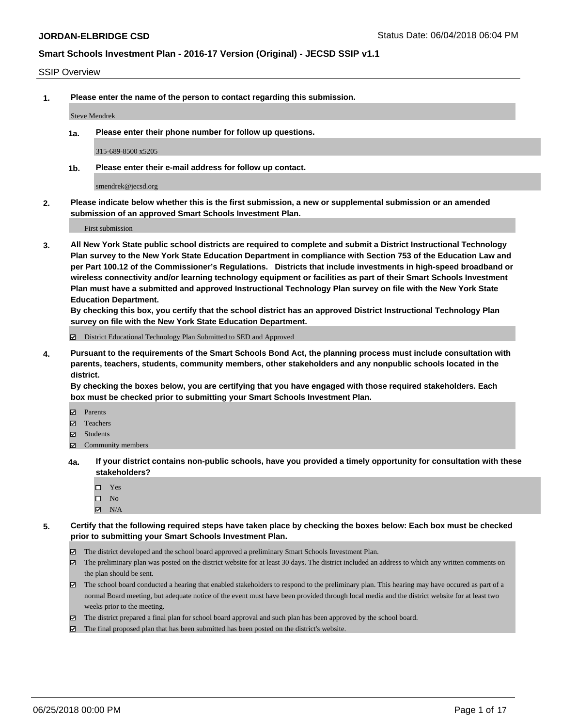#### SSIP Overview

**1. Please enter the name of the person to contact regarding this submission.**

Steve Mendrek

**1a. Please enter their phone number for follow up questions.**

315-689-8500 x5205

**1b. Please enter their e-mail address for follow up contact.**

smendrek@jecsd.org

**2. Please indicate below whether this is the first submission, a new or supplemental submission or an amended submission of an approved Smart Schools Investment Plan.**

First submission

**3. All New York State public school districts are required to complete and submit a District Instructional Technology Plan survey to the New York State Education Department in compliance with Section 753 of the Education Law and per Part 100.12 of the Commissioner's Regulations. Districts that include investments in high-speed broadband or wireless connectivity and/or learning technology equipment or facilities as part of their Smart Schools Investment Plan must have a submitted and approved Instructional Technology Plan survey on file with the New York State Education Department.** 

**By checking this box, you certify that the school district has an approved District Instructional Technology Plan survey on file with the New York State Education Department.**

District Educational Technology Plan Submitted to SED and Approved

**4. Pursuant to the requirements of the Smart Schools Bond Act, the planning process must include consultation with parents, teachers, students, community members, other stakeholders and any nonpublic schools located in the district.** 

**By checking the boxes below, you are certifying that you have engaged with those required stakeholders. Each box must be checked prior to submitting your Smart Schools Investment Plan.**

- **Parents**
- Teachers
- **☑** Students
- **☑** Community members
- **4a. If your district contains non-public schools, have you provided a timely opportunity for consultation with these stakeholders?**
	- □ Yes
	- $\square$  No
	- $\boxtimes$  N/A
- **5. Certify that the following required steps have taken place by checking the boxes below: Each box must be checked prior to submitting your Smart Schools Investment Plan.**
	- The district developed and the school board approved a preliminary Smart Schools Investment Plan.
	- $\boxtimes$  The preliminary plan was posted on the district website for at least 30 days. The district included an address to which any written comments on the plan should be sent.
	- The school board conducted a hearing that enabled stakeholders to respond to the preliminary plan. This hearing may have occured as part of a normal Board meeting, but adequate notice of the event must have been provided through local media and the district website for at least two weeks prior to the meeting.
	- The district prepared a final plan for school board approval and such plan has been approved by the school board.
	- The final proposed plan that has been submitted has been posted on the district's website.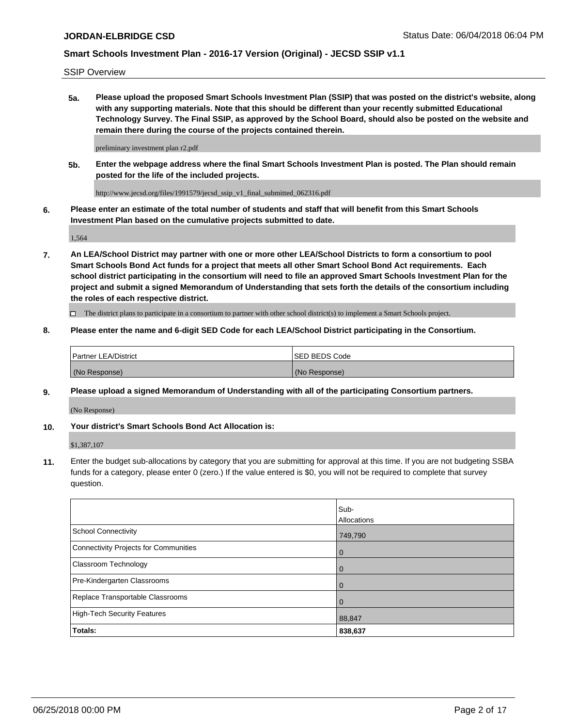SSIP Overview

**5a. Please upload the proposed Smart Schools Investment Plan (SSIP) that was posted on the district's website, along with any supporting materials. Note that this should be different than your recently submitted Educational Technology Survey. The Final SSIP, as approved by the School Board, should also be posted on the website and remain there during the course of the projects contained therein.**

preliminary investment plan r2.pdf

**5b. Enter the webpage address where the final Smart Schools Investment Plan is posted. The Plan should remain posted for the life of the included projects.**

http://www.jecsd.org/files/1991579/jecsd\_ssip\_v1\_final\_submitted\_062316.pdf

**6. Please enter an estimate of the total number of students and staff that will benefit from this Smart Schools Investment Plan based on the cumulative projects submitted to date.**

1,564

**7. An LEA/School District may partner with one or more other LEA/School Districts to form a consortium to pool Smart Schools Bond Act funds for a project that meets all other Smart School Bond Act requirements. Each school district participating in the consortium will need to file an approved Smart Schools Investment Plan for the project and submit a signed Memorandum of Understanding that sets forth the details of the consortium including the roles of each respective district.**

 $\Box$  The district plans to participate in a consortium to partner with other school district(s) to implement a Smart Schools project.

### **8. Please enter the name and 6-digit SED Code for each LEA/School District participating in the Consortium.**

| <b>Partner LEA/District</b> | <b>ISED BEDS Code</b> |
|-----------------------------|-----------------------|
| (No Response)               | (No Response)         |

### **9. Please upload a signed Memorandum of Understanding with all of the participating Consortium partners.**

(No Response)

#### **10. Your district's Smart Schools Bond Act Allocation is:**

\$1,387,107

**11.** Enter the budget sub-allocations by category that you are submitting for approval at this time. If you are not budgeting SSBA funds for a category, please enter 0 (zero.) If the value entered is \$0, you will not be required to complete that survey question.

|                                       | Sub-<br>Allocations |
|---------------------------------------|---------------------|
| School Connectivity                   | 749,790             |
| Connectivity Projects for Communities | $\mathbf 0$         |
| Classroom Technology                  | $\mathbf 0$         |
| Pre-Kindergarten Classrooms           | $\mathbf 0$         |
| Replace Transportable Classrooms      | $\mathbf 0$         |
| High-Tech Security Features           | 88,847              |
| Totals:                               | 838,637             |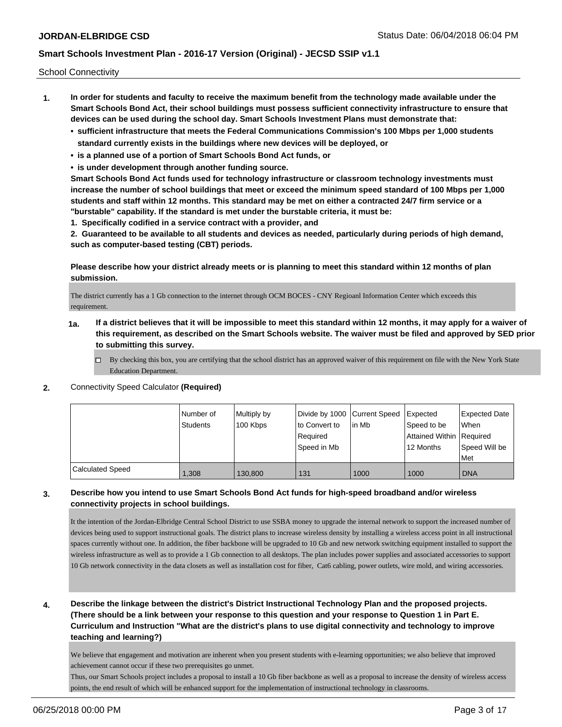School Connectivity

- **1. In order for students and faculty to receive the maximum benefit from the technology made available under the Smart Schools Bond Act, their school buildings must possess sufficient connectivity infrastructure to ensure that devices can be used during the school day. Smart Schools Investment Plans must demonstrate that:**
	- **• sufficient infrastructure that meets the Federal Communications Commission's 100 Mbps per 1,000 students standard currently exists in the buildings where new devices will be deployed, or**
	- **• is a planned use of a portion of Smart Schools Bond Act funds, or**
	- **• is under development through another funding source.**

**Smart Schools Bond Act funds used for technology infrastructure or classroom technology investments must increase the number of school buildings that meet or exceed the minimum speed standard of 100 Mbps per 1,000 students and staff within 12 months. This standard may be met on either a contracted 24/7 firm service or a "burstable" capability. If the standard is met under the burstable criteria, it must be:**

**1. Specifically codified in a service contract with a provider, and**

**2. Guaranteed to be available to all students and devices as needed, particularly during periods of high demand, such as computer-based testing (CBT) periods.**

**Please describe how your district already meets or is planning to meet this standard within 12 months of plan submission.**

The district currently has a 1 Gb connection to the internet through OCM BOCES - CNY Regioanl Information Center which exceeds this requirement.

- **1a. If a district believes that it will be impossible to meet this standard within 12 months, it may apply for a waiver of this requirement, as described on the Smart Schools website. The waiver must be filed and approved by SED prior to submitting this survey.**
	- $\Box$  By checking this box, you are certifying that the school district has an approved waiver of this requirement on file with the New York State Education Department.
- **2.** Connectivity Speed Calculator **(Required)**

|                         | l Number of<br><b>Students</b> | Multiply by<br>100 Kbps | Divide by 1000 Current Speed<br>to Convert to<br>Required<br>Speed in Mb | lin Mb | Expected<br>Speed to be<br>Attained Within Required<br>12 Months | Expected Date<br>When<br>Speed Will be<br>Met |
|-------------------------|--------------------------------|-------------------------|--------------------------------------------------------------------------|--------|------------------------------------------------------------------|-----------------------------------------------|
| <b>Calculated Speed</b> | 1,308                          | 130,800                 | 131                                                                      | 1000   | 1000                                                             | <b>DNA</b>                                    |

### **3. Describe how you intend to use Smart Schools Bond Act funds for high-speed broadband and/or wireless connectivity projects in school buildings.**

It the intention of the Jordan-Elbridge Central School District to use SSBA money to upgrade the internal network to support the increased number of devices being used to support instructional goals. The district plans to increase wireless density by installing a wireless access point in all instructional spaces currently without one. In addition, the fiber backbone will be upgraded to 10 Gb and new network switching equipment installed to support the wireless infrastructure as well as to provide a 1 Gb connection to all desktops. The plan includes power supplies and associated accessories to support 10 Gb network connectivity in the data closets as well as installation cost for fiber, Cat6 cabling, power outlets, wire mold, and wiring accessories.

**4. Describe the linkage between the district's District Instructional Technology Plan and the proposed projects. (There should be a link between your response to this question and your response to Question 1 in Part E. Curriculum and Instruction "What are the district's plans to use digital connectivity and technology to improve teaching and learning?)**

We believe that engagement and motivation are inherent when you present students with e-learning opportunities; we also believe that improved achievement cannot occur if these two prerequisites go unmet.

Thus, our Smart Schools project includes a proposal to install a 10 Gb fiber backbone as well as a proposal to increase the density of wireless access points, the end result of which will be enhanced support for the implementation of instructional technology in classrooms.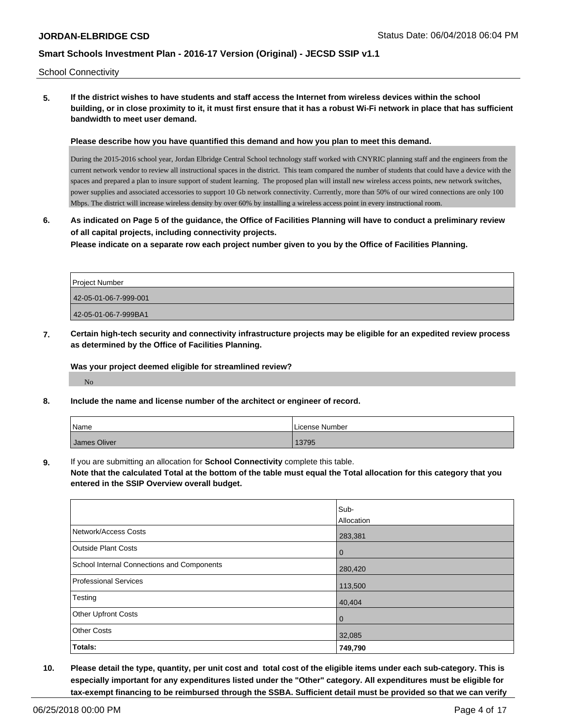School Connectivity

**5. If the district wishes to have students and staff access the Internet from wireless devices within the school building, or in close proximity to it, it must first ensure that it has a robust Wi-Fi network in place that has sufficient bandwidth to meet user demand.**

**Please describe how you have quantified this demand and how you plan to meet this demand.**

During the 2015-2016 school year, Jordan Elbridge Central School technology staff worked with CNYRIC planning staff and the engineers from the current network vendor to review all instructional spaces in the district. This team compared the number of students that could have a device with the spaces and prepared a plan to insure support of student learning. The proposed plan will install new wireless access points, new network switches, power supplies and associated accessories to support 10 Gb network connectivity. Currently, more than 50% of our wired connections are only 100 Mbps. The district will increase wireless density by over 60% by installing a wireless access point in every instructional room.

**6. As indicated on Page 5 of the guidance, the Office of Facilities Planning will have to conduct a preliminary review of all capital projects, including connectivity projects.**

**Please indicate on a separate row each project number given to you by the Office of Facilities Planning.**

| Project Number        |
|-----------------------|
| 42-05-01-06-7-999-001 |
| 42-05-01-06-7-999BA1  |

**7. Certain high-tech security and connectivity infrastructure projects may be eligible for an expedited review process as determined by the Office of Facilities Planning.**

**Was your project deemed eligible for streamlined review?**

No

**8. Include the name and license number of the architect or engineer of record.**

| Name         | License Number |
|--------------|----------------|
| James Oliver | 13795          |

**9.** If you are submitting an allocation for **School Connectivity** complete this table.

**Note that the calculated Total at the bottom of the table must equal the Total allocation for this category that you entered in the SSIP Overview overall budget.** 

|                                            | Sub-              |
|--------------------------------------------|-------------------|
|                                            | <b>Allocation</b> |
| Network/Access Costs                       | 283,381           |
| <b>Outside Plant Costs</b>                 | $\mathbf 0$       |
| School Internal Connections and Components | 280,420           |
| <b>Professional Services</b>               | 113,500           |
| Testing                                    | 40,404            |
| <b>Other Upfront Costs</b>                 | $\mathbf 0$       |
| <b>Other Costs</b>                         | 32,085            |
| Totals:                                    | 749,790           |

**10. Please detail the type, quantity, per unit cost and total cost of the eligible items under each sub-category. This is especially important for any expenditures listed under the "Other" category. All expenditures must be eligible for tax-exempt financing to be reimbursed through the SSBA. Sufficient detail must be provided so that we can verify**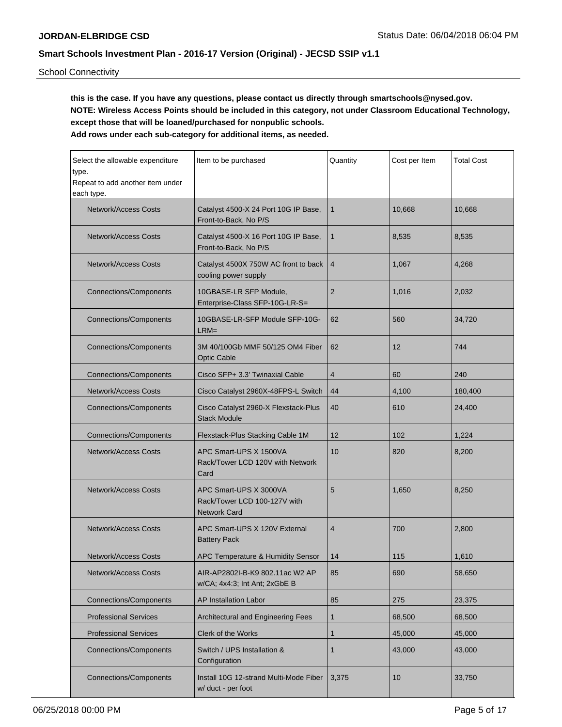School Connectivity

**this is the case. If you have any questions, please contact us directly through smartschools@nysed.gov. NOTE: Wireless Access Points should be included in this category, not under Classroom Educational Technology, except those that will be loaned/purchased for nonpublic schools.**

| Select the allowable expenditure<br>type.<br>Repeat to add another item under<br>each type.   | Item to be purchased                                                          | Quantity       | Cost per Item | <b>Total Cost</b> |
|-----------------------------------------------------------------------------------------------|-------------------------------------------------------------------------------|----------------|---------------|-------------------|
| <b>Network/Access Costs</b>                                                                   | Catalyst 4500-X 24 Port 10G IP Base,<br>Front-to-Back, No P/S                 | $\mathbf{1}$   | 10,668        | 10,668            |
| Network/Access Costs                                                                          | Catalyst 4500-X 16 Port 10G IP Base,<br>Front-to-Back, No P/S                 | $\mathbf{1}$   | 8,535         | 8,535             |
| <b>Network/Access Costs</b>                                                                   | Catalyst 4500X 750W AC front to back<br>cooling power supply                  | $\overline{4}$ | 1,067         | 4,268             |
| <b>Connections/Components</b>                                                                 | 10GBASE-LR SFP Module,<br>Enterprise-Class SFP-10G-LR-S=                      | $\overline{2}$ | 1,016         | 2,032             |
| <b>Connections/Components</b>                                                                 | 10GBASE-LR-SFP Module SFP-10G-<br>$LRM =$                                     | 62             | 560           | 34,720            |
| <b>Connections/Components</b>                                                                 | 3M 40/100Gb MMF 50/125 OM4 Fiber<br><b>Optic Cable</b>                        | 62             | 12            | 744               |
| <b>Connections/Components</b>                                                                 | Cisco SFP+ 3.3' Twinaxial Cable                                               | $\overline{4}$ | 60            | 240               |
| <b>Network/Access Costs</b>                                                                   | Cisco Catalyst 2960X-48FPS-L Switch                                           | 44             | 4,100         | 180,400           |
| <b>Connections/Components</b>                                                                 | Cisco Catalyst 2960-X Flexstack-Plus<br><b>Stack Module</b>                   | 40             | 610           | 24,400            |
| <b>Connections/Components</b>                                                                 | Flexstack-Plus Stacking Cable 1M                                              | 12             | 102           | 1,224             |
| <b>Network/Access Costs</b>                                                                   | APC Smart-UPS X 1500VA<br>Rack/Tower LCD 120V with Network<br>Card            | 10             | 820           | 8,200             |
| <b>Network/Access Costs</b>                                                                   | APC Smart-UPS X 3000VA<br>Rack/Tower LCD 100-127V with<br><b>Network Card</b> | 5              | 1,650         | 8,250             |
| <b>Network/Access Costs</b>                                                                   | APC Smart-UPS X 120V External<br><b>Battery Pack</b>                          | 4              | 700           | 2,800             |
| <b>Network/Access Costs</b>                                                                   | APC Temperature & Humidity Sensor                                             | 14             | 115           | 1,610             |
| Network/Access Costs                                                                          | AIR-AP2802I-B-K9 802.11ac W2 AP<br>w/CA; 4x4:3; Int Ant; 2xGbE B              | 85             | 690           | 58,650            |
| <b>Connections/Components</b>                                                                 | <b>AP Installation Labor</b>                                                  | 85             | 275           | 23,375            |
| <b>Professional Services</b>                                                                  | Architectural and Engineering Fees                                            | $\mathbf{1}$   | 68,500        | 68,500            |
| <b>Professional Services</b>                                                                  | Clerk of the Works                                                            | $\mathbf{1}$   | 45,000        | 45,000            |
| <b>Connections/Components</b>                                                                 | Switch / UPS Installation &<br>Configuration                                  | 1              | 43,000        | 43,000            |
| <b>Connections/Components</b><br>Install 10G 12-strand Multi-Mode Fiber<br>w/ duct - per foot |                                                                               | 3,375          | 10            | 33,750            |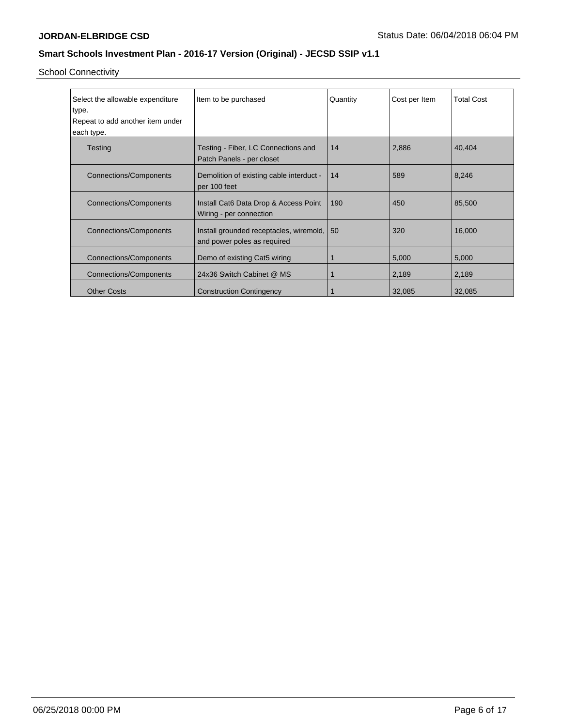School Connectivity

| Select the allowable expenditure<br>type.<br>Repeat to add another item under<br>each type. | Item to be purchased                                                   | Quantity | Cost per Item | <b>Total Cost</b> |
|---------------------------------------------------------------------------------------------|------------------------------------------------------------------------|----------|---------------|-------------------|
| Testing                                                                                     | Testing - Fiber, LC Connections and<br>Patch Panels - per closet       | 14       | 2,886         | 40,404            |
| <b>Connections/Components</b>                                                               | Demolition of existing cable interduct -<br>per 100 feet               | 14       | 589           | 8,246             |
| <b>Connections/Components</b>                                                               | Install Cat6 Data Drop & Access Point<br>Wiring - per connection       | 190      | 450           | 85,500            |
| <b>Connections/Components</b>                                                               | Install grounded receptacles, wiremold,<br>and power poles as required | 50       | 320           | 16,000            |
| <b>Connections/Components</b>                                                               | Demo of existing Cat5 wiring                                           |          | 5,000         | 5,000             |
| <b>Connections/Components</b>                                                               | 24x36 Switch Cabinet @ MS                                              |          | 2,189         | 2,189             |
| <b>Other Costs</b>                                                                          | <b>Construction Contingency</b>                                        |          | 32,085        | 32,085            |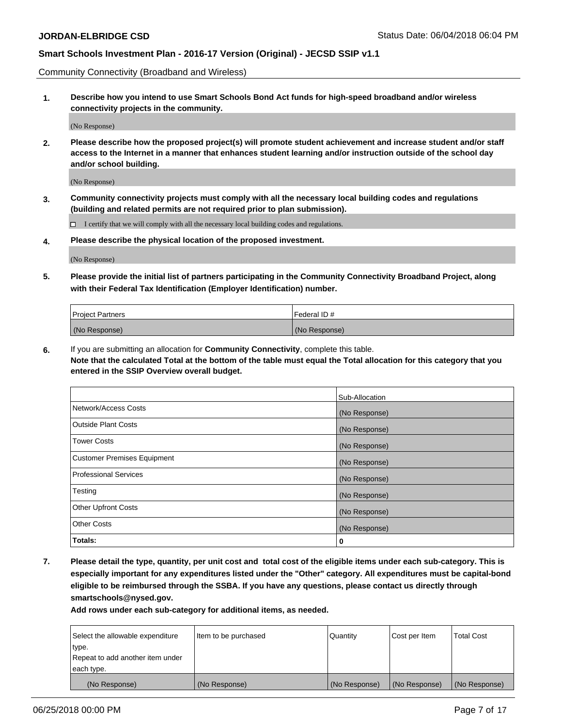Community Connectivity (Broadband and Wireless)

**1. Describe how you intend to use Smart Schools Bond Act funds for high-speed broadband and/or wireless connectivity projects in the community.**

(No Response)

**2. Please describe how the proposed project(s) will promote student achievement and increase student and/or staff access to the Internet in a manner that enhances student learning and/or instruction outside of the school day and/or school building.**

(No Response)

**3. Community connectivity projects must comply with all the necessary local building codes and regulations (building and related permits are not required prior to plan submission).**

 $\Box$  I certify that we will comply with all the necessary local building codes and regulations.

**4. Please describe the physical location of the proposed investment.**

(No Response)

**5. Please provide the initial list of partners participating in the Community Connectivity Broadband Project, along with their Federal Tax Identification (Employer Identification) number.**

| <b>Project Partners</b> | l Federal ID # |
|-------------------------|----------------|
| (No Response)           | (No Response)  |

**6.** If you are submitting an allocation for **Community Connectivity**, complete this table.

**Note that the calculated Total at the bottom of the table must equal the Total allocation for this category that you entered in the SSIP Overview overall budget.**

|                             | Sub-Allocation |
|-----------------------------|----------------|
| Network/Access Costs        | (No Response)  |
| Outside Plant Costs         | (No Response)  |
| <b>Tower Costs</b>          | (No Response)  |
| Customer Premises Equipment | (No Response)  |
| Professional Services       | (No Response)  |
| Testing                     | (No Response)  |
| <b>Other Upfront Costs</b>  | (No Response)  |
| <b>Other Costs</b>          | (No Response)  |
| Totals:                     | 0              |

**7. Please detail the type, quantity, per unit cost and total cost of the eligible items under each sub-category. This is especially important for any expenditures listed under the "Other" category. All expenditures must be capital-bond eligible to be reimbursed through the SSBA. If you have any questions, please contact us directly through smartschools@nysed.gov.**

| Select the allowable expenditure | Item to be purchased | Quantity      | Cost per Item | <b>Total Cost</b> |
|----------------------------------|----------------------|---------------|---------------|-------------------|
| type.                            |                      |               |               |                   |
| Repeat to add another item under |                      |               |               |                   |
| each type.                       |                      |               |               |                   |
| (No Response)                    | (No Response)        | (No Response) | (No Response) | (No Response)     |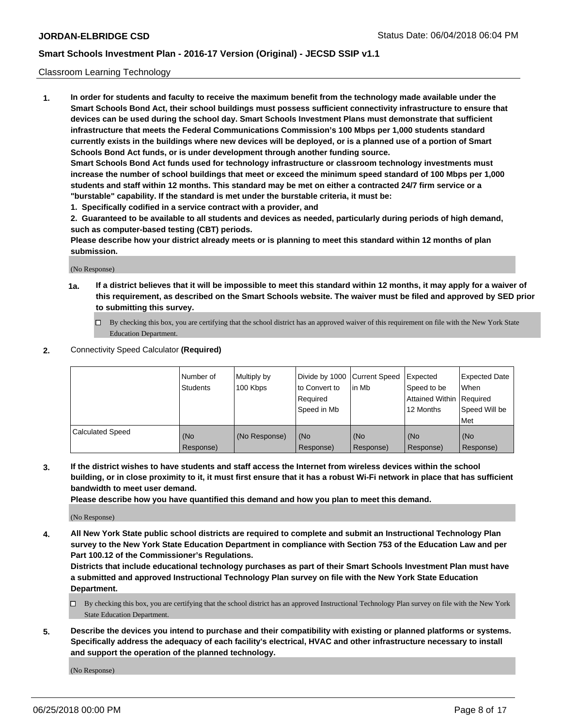#### Classroom Learning Technology

**1. In order for students and faculty to receive the maximum benefit from the technology made available under the Smart Schools Bond Act, their school buildings must possess sufficient connectivity infrastructure to ensure that devices can be used during the school day. Smart Schools Investment Plans must demonstrate that sufficient infrastructure that meets the Federal Communications Commission's 100 Mbps per 1,000 students standard currently exists in the buildings where new devices will be deployed, or is a planned use of a portion of Smart Schools Bond Act funds, or is under development through another funding source. Smart Schools Bond Act funds used for technology infrastructure or classroom technology investments must**

**increase the number of school buildings that meet or exceed the minimum speed standard of 100 Mbps per 1,000 students and staff within 12 months. This standard may be met on either a contracted 24/7 firm service or a "burstable" capability. If the standard is met under the burstable criteria, it must be:**

**1. Specifically codified in a service contract with a provider, and**

**2. Guaranteed to be available to all students and devices as needed, particularly during periods of high demand, such as computer-based testing (CBT) periods.**

**Please describe how your district already meets or is planning to meet this standard within 12 months of plan submission.**

(No Response)

- **1a. If a district believes that it will be impossible to meet this standard within 12 months, it may apply for a waiver of this requirement, as described on the Smart Schools website. The waiver must be filed and approved by SED prior to submitting this survey.**
	- By checking this box, you are certifying that the school district has an approved waiver of this requirement on file with the New York State Education Department.

#### **2.** Connectivity Speed Calculator **(Required)**

|                         | Number of<br>Students | Multiply by<br>100 Kbps | to Convert to<br>Required<br>Speed in Mb | Divide by 1000 Current Speed<br>lin Mb | Expected<br>Speed to be<br><b>Attained Within Required</b><br>12 Months | <b>Expected Date</b><br>When<br>Speed Will be<br>Met |
|-------------------------|-----------------------|-------------------------|------------------------------------------|----------------------------------------|-------------------------------------------------------------------------|------------------------------------------------------|
| <b>Calculated Speed</b> | (No<br>Response)      | (No Response)           | (No<br>Response)                         | (No<br>Response)                       | l (No<br>Response)                                                      | (No<br>Response)                                     |

**3. If the district wishes to have students and staff access the Internet from wireless devices within the school building, or in close proximity to it, it must first ensure that it has a robust Wi-Fi network in place that has sufficient bandwidth to meet user demand.**

**Please describe how you have quantified this demand and how you plan to meet this demand.**

(No Response)

**4. All New York State public school districts are required to complete and submit an Instructional Technology Plan survey to the New York State Education Department in compliance with Section 753 of the Education Law and per Part 100.12 of the Commissioner's Regulations.**

**Districts that include educational technology purchases as part of their Smart Schools Investment Plan must have a submitted and approved Instructional Technology Plan survey on file with the New York State Education Department.**

- $\Box$  By checking this box, you are certifying that the school district has an approved Instructional Technology Plan survey on file with the New York State Education Department.
- **5. Describe the devices you intend to purchase and their compatibility with existing or planned platforms or systems. Specifically address the adequacy of each facility's electrical, HVAC and other infrastructure necessary to install and support the operation of the planned technology.**

(No Response)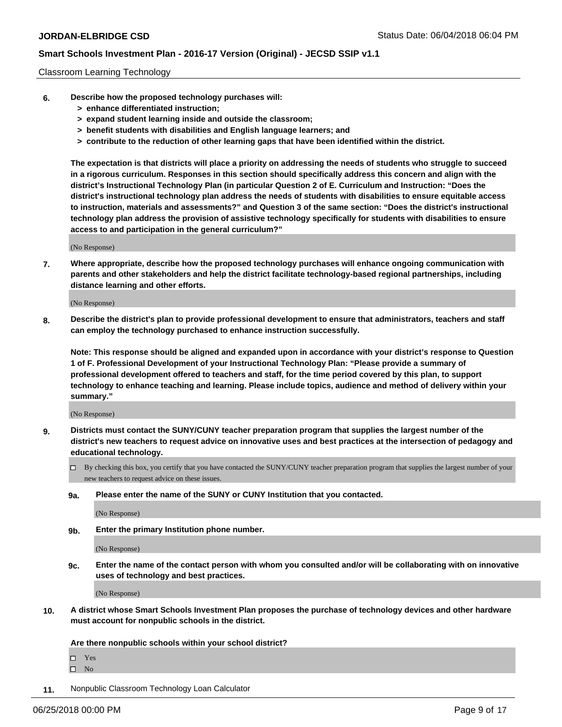### Classroom Learning Technology

- **6. Describe how the proposed technology purchases will:**
	- **> enhance differentiated instruction;**
	- **> expand student learning inside and outside the classroom;**
	- **> benefit students with disabilities and English language learners; and**
	- **> contribute to the reduction of other learning gaps that have been identified within the district.**

**The expectation is that districts will place a priority on addressing the needs of students who struggle to succeed in a rigorous curriculum. Responses in this section should specifically address this concern and align with the district's Instructional Technology Plan (in particular Question 2 of E. Curriculum and Instruction: "Does the district's instructional technology plan address the needs of students with disabilities to ensure equitable access to instruction, materials and assessments?" and Question 3 of the same section: "Does the district's instructional technology plan address the provision of assistive technology specifically for students with disabilities to ensure access to and participation in the general curriculum?"**

(No Response)

**7. Where appropriate, describe how the proposed technology purchases will enhance ongoing communication with parents and other stakeholders and help the district facilitate technology-based regional partnerships, including distance learning and other efforts.**

(No Response)

**8. Describe the district's plan to provide professional development to ensure that administrators, teachers and staff can employ the technology purchased to enhance instruction successfully.**

**Note: This response should be aligned and expanded upon in accordance with your district's response to Question 1 of F. Professional Development of your Instructional Technology Plan: "Please provide a summary of professional development offered to teachers and staff, for the time period covered by this plan, to support technology to enhance teaching and learning. Please include topics, audience and method of delivery within your summary."**

(No Response)

- **9. Districts must contact the SUNY/CUNY teacher preparation program that supplies the largest number of the district's new teachers to request advice on innovative uses and best practices at the intersection of pedagogy and educational technology.**
	- By checking this box, you certify that you have contacted the SUNY/CUNY teacher preparation program that supplies the largest number of your new teachers to request advice on these issues.
	- **9a. Please enter the name of the SUNY or CUNY Institution that you contacted.**

(No Response)

**9b. Enter the primary Institution phone number.**

(No Response)

**9c. Enter the name of the contact person with whom you consulted and/or will be collaborating with on innovative uses of technology and best practices.**

(No Response)

**10. A district whose Smart Schools Investment Plan proposes the purchase of technology devices and other hardware must account for nonpublic schools in the district.**

**Are there nonpublic schools within your school district?**

Yes

 $\square$  No

**11.** Nonpublic Classroom Technology Loan Calculator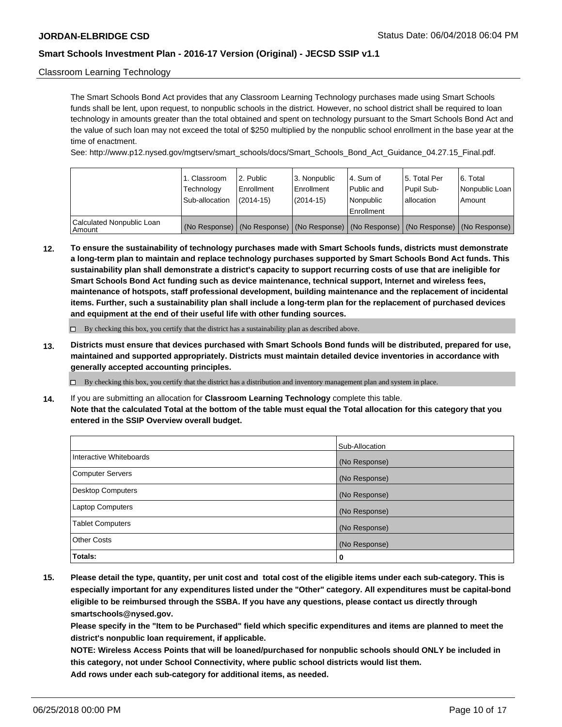### Classroom Learning Technology

The Smart Schools Bond Act provides that any Classroom Learning Technology purchases made using Smart Schools funds shall be lent, upon request, to nonpublic schools in the district. However, no school district shall be required to loan technology in amounts greater than the total obtained and spent on technology pursuant to the Smart Schools Bond Act and the value of such loan may not exceed the total of \$250 multiplied by the nonpublic school enrollment in the base year at the time of enactment.

See: http://www.p12.nysed.gov/mgtserv/smart\_schools/docs/Smart\_Schools\_Bond\_Act\_Guidance\_04.27.15\_Final.pdf.

|                                       | 1. Classroom<br>Technology<br>Sub-allocation | 2. Public<br>l Enrollment<br>$(2014-15)$ | l 3. Nonpublic<br>l Enrollment<br>$(2014 - 15)$ | l 4. Sum of<br>Public and<br>Nonpublic<br>Enrollment | 15. Total Per<br>Pupil Sub-<br>lallocation                                                    | l 6. Total<br>Nonpublic Loan<br>Amount |
|---------------------------------------|----------------------------------------------|------------------------------------------|-------------------------------------------------|------------------------------------------------------|-----------------------------------------------------------------------------------------------|----------------------------------------|
| Calculated Nonpublic Loan<br>l Amount |                                              |                                          |                                                 |                                                      | (No Response)   (No Response)   (No Response)   (No Response)   (No Response)   (No Response) |                                        |

**12. To ensure the sustainability of technology purchases made with Smart Schools funds, districts must demonstrate a long-term plan to maintain and replace technology purchases supported by Smart Schools Bond Act funds. This sustainability plan shall demonstrate a district's capacity to support recurring costs of use that are ineligible for Smart Schools Bond Act funding such as device maintenance, technical support, Internet and wireless fees, maintenance of hotspots, staff professional development, building maintenance and the replacement of incidental items. Further, such a sustainability plan shall include a long-term plan for the replacement of purchased devices and equipment at the end of their useful life with other funding sources.**

 $\Box$  By checking this box, you certify that the district has a sustainability plan as described above.

**13. Districts must ensure that devices purchased with Smart Schools Bond funds will be distributed, prepared for use, maintained and supported appropriately. Districts must maintain detailed device inventories in accordance with generally accepted accounting principles.**

By checking this box, you certify that the district has a distribution and inventory management plan and system in place.

**14.** If you are submitting an allocation for **Classroom Learning Technology** complete this table. **Note that the calculated Total at the bottom of the table must equal the Total allocation for this category that you entered in the SSIP Overview overall budget.**

|                          | Sub-Allocation |
|--------------------------|----------------|
| Interactive Whiteboards  | (No Response)  |
| <b>Computer Servers</b>  | (No Response)  |
| <b>Desktop Computers</b> | (No Response)  |
| <b>Laptop Computers</b>  | (No Response)  |
| <b>Tablet Computers</b>  | (No Response)  |
| <b>Other Costs</b>       | (No Response)  |
| Totals:                  | 0              |

**15. Please detail the type, quantity, per unit cost and total cost of the eligible items under each sub-category. This is especially important for any expenditures listed under the "Other" category. All expenditures must be capital-bond eligible to be reimbursed through the SSBA. If you have any questions, please contact us directly through smartschools@nysed.gov.**

**Please specify in the "Item to be Purchased" field which specific expenditures and items are planned to meet the district's nonpublic loan requirement, if applicable.**

**NOTE: Wireless Access Points that will be loaned/purchased for nonpublic schools should ONLY be included in this category, not under School Connectivity, where public school districts would list them. Add rows under each sub-category for additional items, as needed.**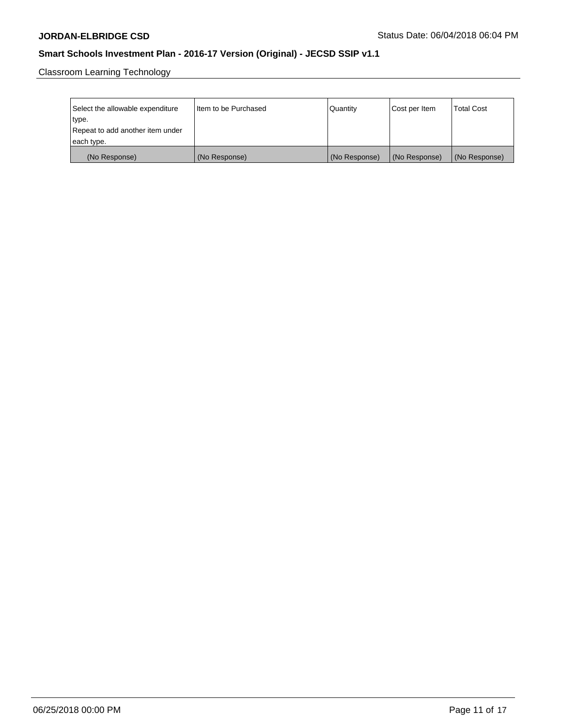Classroom Learning Technology

| Select the allowable expenditure | Item to be Purchased | Quantity      | Cost per Item | <b>Total Cost</b> |
|----------------------------------|----------------------|---------------|---------------|-------------------|
| type.                            |                      |               |               |                   |
| Repeat to add another item under |                      |               |               |                   |
| each type.                       |                      |               |               |                   |
| (No Response)                    | (No Response)        | (No Response) | (No Response) | (No Response)     |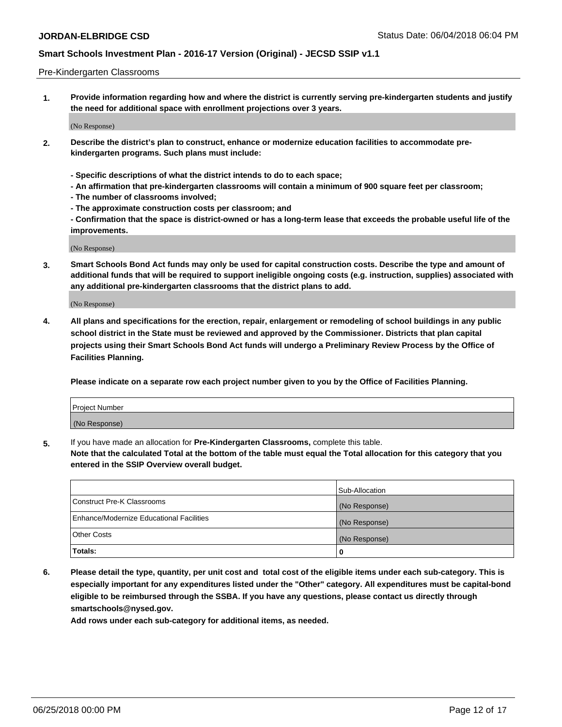#### Pre-Kindergarten Classrooms

**1. Provide information regarding how and where the district is currently serving pre-kindergarten students and justify the need for additional space with enrollment projections over 3 years.**

(No Response)

- **2. Describe the district's plan to construct, enhance or modernize education facilities to accommodate prekindergarten programs. Such plans must include:**
	- **Specific descriptions of what the district intends to do to each space;**
	- **An affirmation that pre-kindergarten classrooms will contain a minimum of 900 square feet per classroom;**
	- **The number of classrooms involved;**
	- **The approximate construction costs per classroom; and**
	- **Confirmation that the space is district-owned or has a long-term lease that exceeds the probable useful life of the improvements.**

(No Response)

**3. Smart Schools Bond Act funds may only be used for capital construction costs. Describe the type and amount of additional funds that will be required to support ineligible ongoing costs (e.g. instruction, supplies) associated with any additional pre-kindergarten classrooms that the district plans to add.**

(No Response)

**4. All plans and specifications for the erection, repair, enlargement or remodeling of school buildings in any public school district in the State must be reviewed and approved by the Commissioner. Districts that plan capital projects using their Smart Schools Bond Act funds will undergo a Preliminary Review Process by the Office of Facilities Planning.**

**Please indicate on a separate row each project number given to you by the Office of Facilities Planning.**

| Project Number |  |
|----------------|--|
| (No Response)  |  |
|                |  |

**5.** If you have made an allocation for **Pre-Kindergarten Classrooms,** complete this table.

**Note that the calculated Total at the bottom of the table must equal the Total allocation for this category that you entered in the SSIP Overview overall budget.**

|                                          | Sub-Allocation |
|------------------------------------------|----------------|
| Construct Pre-K Classrooms               | (No Response)  |
| Enhance/Modernize Educational Facilities | (No Response)  |
| <b>Other Costs</b>                       | (No Response)  |
| Totals:                                  | 0              |

**6. Please detail the type, quantity, per unit cost and total cost of the eligible items under each sub-category. This is especially important for any expenditures listed under the "Other" category. All expenditures must be capital-bond eligible to be reimbursed through the SSBA. If you have any questions, please contact us directly through smartschools@nysed.gov.**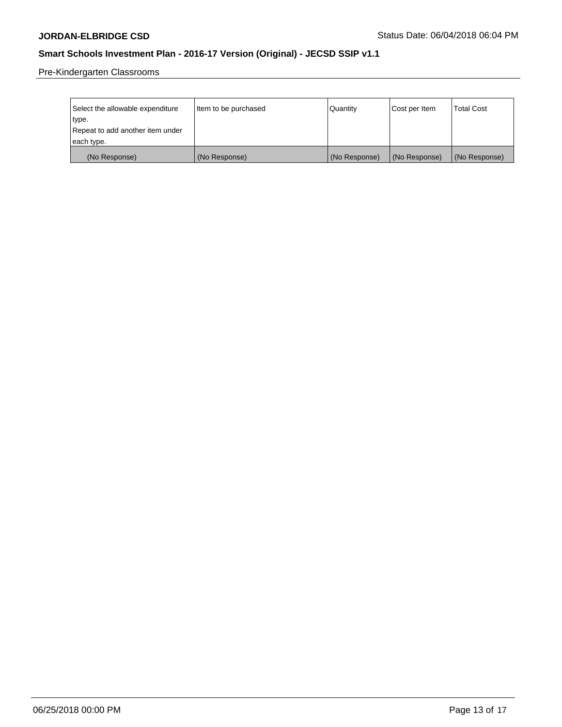Pre-Kindergarten Classrooms

| Select the allowable expenditure | Item to be purchased | Quantity      | Cost per Item | <b>Total Cost</b> |
|----------------------------------|----------------------|---------------|---------------|-------------------|
| type.                            |                      |               |               |                   |
| Repeat to add another item under |                      |               |               |                   |
| each type.                       |                      |               |               |                   |
| (No Response)                    | (No Response)        | (No Response) | (No Response) | (No Response)     |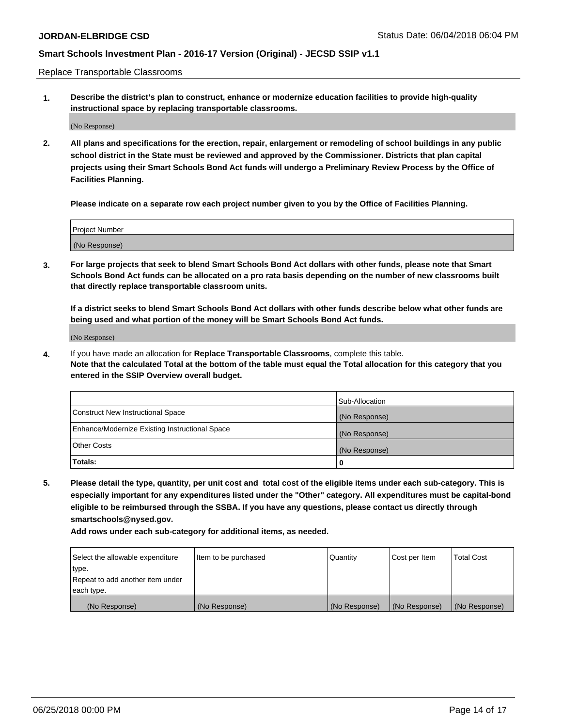Replace Transportable Classrooms

**1. Describe the district's plan to construct, enhance or modernize education facilities to provide high-quality instructional space by replacing transportable classrooms.**

(No Response)

**2. All plans and specifications for the erection, repair, enlargement or remodeling of school buildings in any public school district in the State must be reviewed and approved by the Commissioner. Districts that plan capital projects using their Smart Schools Bond Act funds will undergo a Preliminary Review Process by the Office of Facilities Planning.**

**Please indicate on a separate row each project number given to you by the Office of Facilities Planning.**

| Project Number |  |
|----------------|--|
|                |  |
| (No Response)  |  |

**3. For large projects that seek to blend Smart Schools Bond Act dollars with other funds, please note that Smart Schools Bond Act funds can be allocated on a pro rata basis depending on the number of new classrooms built that directly replace transportable classroom units.**

**If a district seeks to blend Smart Schools Bond Act dollars with other funds describe below what other funds are being used and what portion of the money will be Smart Schools Bond Act funds.**

(No Response)

**4.** If you have made an allocation for **Replace Transportable Classrooms**, complete this table. **Note that the calculated Total at the bottom of the table must equal the Total allocation for this category that you entered in the SSIP Overview overall budget.**

|                                                | Sub-Allocation |
|------------------------------------------------|----------------|
| Construct New Instructional Space              | (No Response)  |
| Enhance/Modernize Existing Instructional Space | (No Response)  |
| Other Costs                                    | (No Response)  |
| Totals:                                        | 0              |

**5. Please detail the type, quantity, per unit cost and total cost of the eligible items under each sub-category. This is especially important for any expenditures listed under the "Other" category. All expenditures must be capital-bond eligible to be reimbursed through the SSBA. If you have any questions, please contact us directly through smartschools@nysed.gov.**

| Select the allowable expenditure | Item to be purchased | <b>Quantity</b> | Cost per Item | <b>Total Cost</b> |
|----------------------------------|----------------------|-----------------|---------------|-------------------|
| type.                            |                      |                 |               |                   |
| Repeat to add another item under |                      |                 |               |                   |
| each type.                       |                      |                 |               |                   |
| (No Response)                    | (No Response)        | (No Response)   | (No Response) | (No Response)     |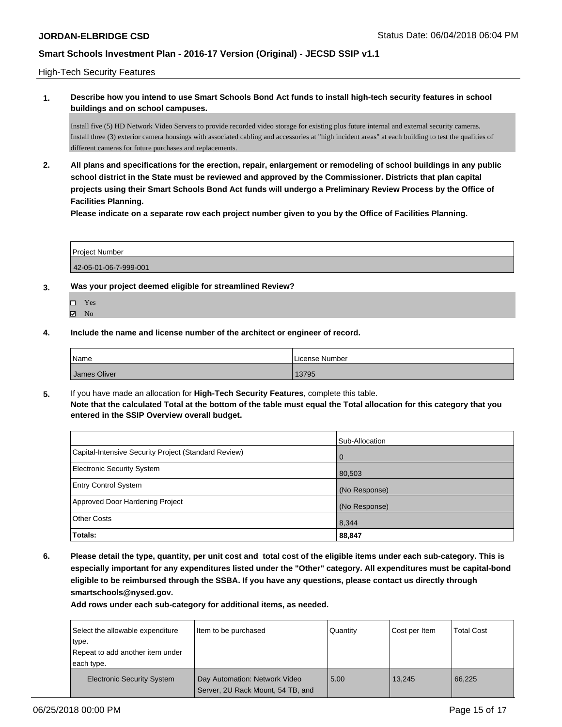High-Tech Security Features

**1. Describe how you intend to use Smart Schools Bond Act funds to install high-tech security features in school buildings and on school campuses.**

Install five (5) HD Network Video Servers to provide recorded video storage for existing plus future internal and external security cameras. Install three (3) exterior camera housings with associated cabling and accessories at "high incident areas" at each building to test the qualities of different cameras for future purchases and replacements.

**2. All plans and specifications for the erection, repair, enlargement or remodeling of school buildings in any public school district in the State must be reviewed and approved by the Commissioner. Districts that plan capital projects using their Smart Schools Bond Act funds will undergo a Preliminary Review Process by the Office of Facilities Planning.** 

**Please indicate on a separate row each project number given to you by the Office of Facilities Planning.**

Project Number 42-05-01-06-7-999-001

- **3. Was your project deemed eligible for streamlined Review?**
	- Yes
	- $\boxtimes$  No
- **4. Include the name and license number of the architect or engineer of record.**

| Name         | License Number |
|--------------|----------------|
| James Oliver | 13795          |

**5.** If you have made an allocation for **High-Tech Security Features**, complete this table. **Note that the calculated Total at the bottom of the table must equal the Total allocation for this category that you entered in the SSIP Overview overall budget.**

|                                                      | Sub-Allocation |
|------------------------------------------------------|----------------|
| Capital-Intensive Security Project (Standard Review) | l 0            |
| <b>Electronic Security System</b>                    | 80,503         |
| <b>Entry Control System</b>                          | (No Response)  |
| Approved Door Hardening Project                      | (No Response)  |
| <b>Other Costs</b>                                   | 8,344          |
| Totals:                                              | 88,847         |

**6. Please detail the type, quantity, per unit cost and total cost of the eligible items under each sub-category. This is especially important for any expenditures listed under the "Other" category. All expenditures must be capital-bond eligible to be reimbursed through the SSBA. If you have any questions, please contact us directly through smartschools@nysed.gov.**

| Select the allowable expenditure<br>type.<br>Repeat to add another item under<br>each type. | Item to be purchased                                               | Quantity | Cost per Item | <b>Total Cost</b> |
|---------------------------------------------------------------------------------------------|--------------------------------------------------------------------|----------|---------------|-------------------|
| <b>Electronic Security System</b>                                                           | Day Automation: Network Video<br>Server, 2U Rack Mount, 54 TB, and | 5.00     | 13.245        | 66.225            |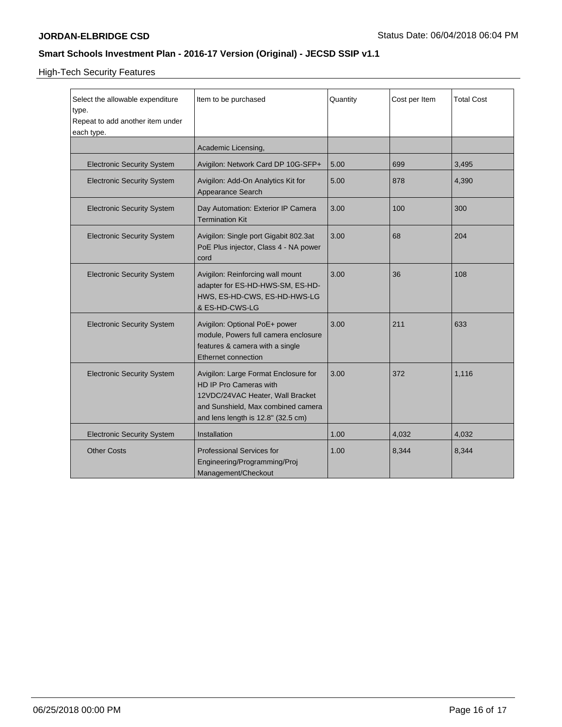High-Tech Security Features

| Select the allowable expenditure<br>type.<br>Repeat to add another item under<br>each type. | Item to be purchased                                                                                                                                                           | Quantity | Cost per Item | <b>Total Cost</b> |
|---------------------------------------------------------------------------------------------|--------------------------------------------------------------------------------------------------------------------------------------------------------------------------------|----------|---------------|-------------------|
|                                                                                             | Academic Licensing,                                                                                                                                                            |          |               |                   |
| <b>Electronic Security System</b>                                                           | Avigilon: Network Card DP 10G-SFP+                                                                                                                                             | 5.00     | 699           | 3,495             |
| <b>Electronic Security System</b>                                                           | Avigilon: Add-On Analytics Kit for<br>Appearance Search                                                                                                                        | 5.00     | 878           | 4,390             |
| <b>Electronic Security System</b>                                                           | Day Automation: Exterior IP Camera<br><b>Termination Kit</b>                                                                                                                   | 3.00     | 100           | 300               |
| <b>Electronic Security System</b>                                                           | Avigilon: Single port Gigabit 802.3at<br>PoE Plus injector, Class 4 - NA power<br>cord                                                                                         | 3.00     | 68            | 204               |
| <b>Electronic Security System</b>                                                           | Avigilon: Reinforcing wall mount<br>adapter for ES-HD-HWS-SM, ES-HD-<br>HWS, ES-HD-CWS, ES-HD-HWS-LG<br>& ES-HD-CWS-LG                                                         | 3.00     | 36            | 108               |
| <b>Electronic Security System</b>                                                           | Avigilon: Optional PoE+ power<br>module, Powers full camera enclosure<br>features & camera with a single<br>Ethernet connection                                                | 3.00     | 211           | 633               |
| <b>Electronic Security System</b>                                                           | Avigilon: Large Format Enclosure for<br>HD IP Pro Cameras with<br>12VDC/24VAC Heater, Wall Bracket<br>and Sunshield, Max combined camera<br>and lens length is 12.8" (32.5 cm) | 3.00     | 372           | 1,116             |
| <b>Electronic Security System</b>                                                           | Installation                                                                                                                                                                   | 1.00     | 4,032         | 4,032             |
| <b>Other Costs</b>                                                                          | <b>Professional Services for</b><br>Engineering/Programming/Proj<br>Management/Checkout                                                                                        | 1.00     | 8,344         | 8,344             |